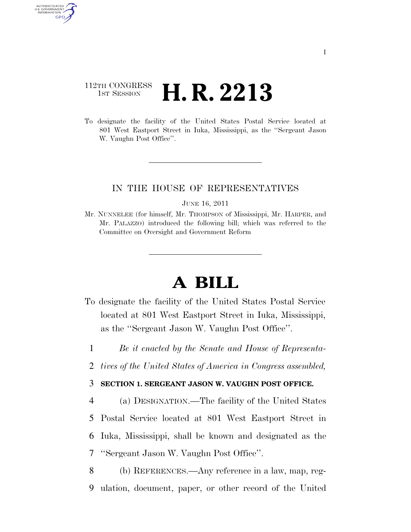# 112TH CONGRESS <sup>TH CONGRESS</sup> **H. R. 2213**

AUTHENTICATED U.S. GOVERNMENT **GPO** 

> To designate the facility of the United States Postal Service located at 801 West Eastport Street in Iuka, Mississippi, as the ''Sergeant Jason W. Vaughn Post Office''.

## IN THE HOUSE OF REPRESENTATIVES

#### JUNE 16, 2011

Mr. NUNNELEE (for himself, Mr. THOMPSON of Mississippi, Mr. HARPER, and Mr. PALAZZO) introduced the following bill; which was referred to the Committee on Oversight and Government Reform

# **A BILL**

- To designate the facility of the United States Postal Service located at 801 West Eastport Street in Iuka, Mississippi, as the ''Sergeant Jason W. Vaughn Post Office''.
	- 1 *Be it enacted by the Senate and House of Representa-*
	- 2 *tives of the United States of America in Congress assembled,*

### 3 **SECTION 1. SERGEANT JASON W. VAUGHN POST OFFICE.**

- 4 (a) DESIGNATION.—The facility of the United States 5 Postal Service located at 801 West Eastport Street in 6 Iuka, Mississippi, shall be known and designated as the 7 ''Sergeant Jason W. Vaughn Post Office''.
- 8 (b) REFERENCES.—Any reference in a law, map, reg-9 ulation, document, paper, or other record of the United